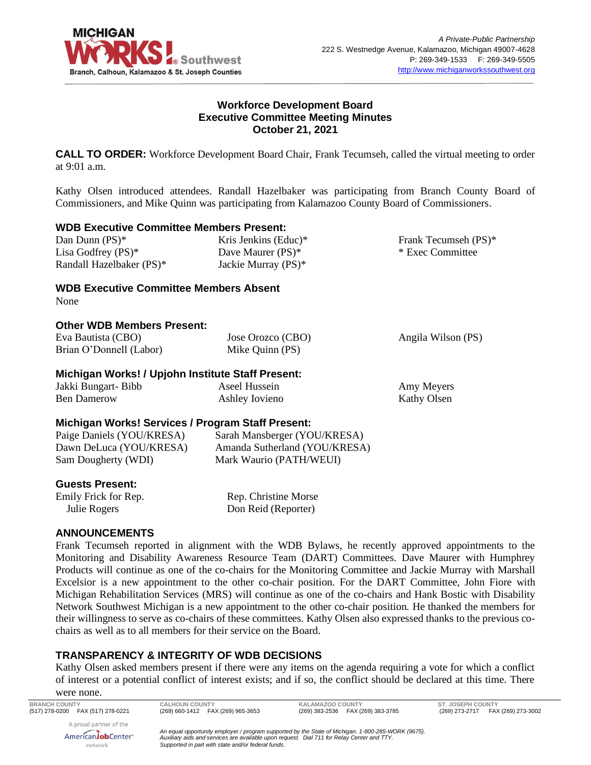

# **Workforce Development Board Executive Committee Meeting Minutes October 21, 2021**

**CALL TO ORDER:** Workforce Development Board Chair, Frank Tecumseh, called the virtual meeting to order at 9:01 a.m.

Kathy Olsen introduced attendees. Randall Hazelbaker was participating from Branch County Board of Commissioners, and Mike Quinn was participating from Kalamazoo County Board of Commissioners.

|  |  | <b>WDB Executive Committee Members Present:</b> |  |  |
|--|--|-------------------------------------------------|--|--|
|--|--|-------------------------------------------------|--|--|

Dan Dunn (PS)\* Lisa Godfrey (PS)\* Randall Hazelbaker (PS)\* Kris Jenkins (Educ)\* Dave Maurer (PS)\* Jackie Murray (PS)\*

Frank Tecumseh (PS)\* \* Exec Committee

Kathy Olsen

**WDB Executive Committee Members Absent**

None

# **Other WDB Members Present:**

| Eva Bautista (CBO)                                | Jose Orozco (CBO) | Angila Wilson (PS) |
|---------------------------------------------------|-------------------|--------------------|
| Brian O'Donnell (Labor)                           | Mike Quinn (PS)   |                    |
| Michigan Works! / Upjohn Institute Staff Present: |                   |                    |
| Jakki Bungart- Bibb                               | Aseel Hussein     | Amy Meyers         |

#### Ben Damerow Ashley Iovieno

# **Michigan Works! Services / Program Staff Present:**

| Paige Daniels (YOU/KRESA) | Sarah Mansberger (YOU/KRESA)  |
|---------------------------|-------------------------------|
| Dawn DeLuca (YOU/KRESA)   | Amanda Sutherland (YOU/KRESA) |
| Sam Dougherty (WDI)       | Mark Waurio (PATH/WEUI)       |

# **Guests Present:**

Emily Frick for Rep. Julie Rogers

Rep. Christine Morse Don Reid (Reporter)

# **ANNOUNCEMENTS**

Frank Tecumseh reported in alignment with the WDB Bylaws, he recently approved appointments to the Monitoring and Disability Awareness Resource Team (DART) Committees. Dave Maurer with Humphrey Products will continue as one of the co-chairs for the Monitoring Committee and Jackie Murray with Marshall Excelsior is a new appointment to the other co-chair position. For the DART Committee, John Fiore with Michigan Rehabilitation Services (MRS) will continue as one of the co-chairs and Hank Bostic with Disability Network Southwest Michigan is a new appointment to the other co-chair position. He thanked the members for their willingness to serve as co-chairs of these committees. Kathy Olsen also expressed thanks to the previous cochairs as well as to all members for their service on the Board.

# **TRANSPARENCY & INTEGRITY OF WDB DECISIONS**

Kathy Olsen asked members present if there were any items on the agenda requiring a vote for which a conflict of interest or a potential conflict of interest exists; and if so, the conflict should be declared at this time. There

were none.

A proud partner of the AmericanJobCenter\* network

**BRANCH COUNTY CALHOUN COUNTY KALAMAZOO COUNTY ST. JOSEPH COUNTY**

(269) 273-2717 FAX (269) 273-3002

*An equal opportunity employer / program supported by the State of Michigan. 1-800-285-WORK (9675). Auxiliary aids and services are available upon request. Dial 711 for Relay Center and TTY. Supported in part with state and/or federal funds.*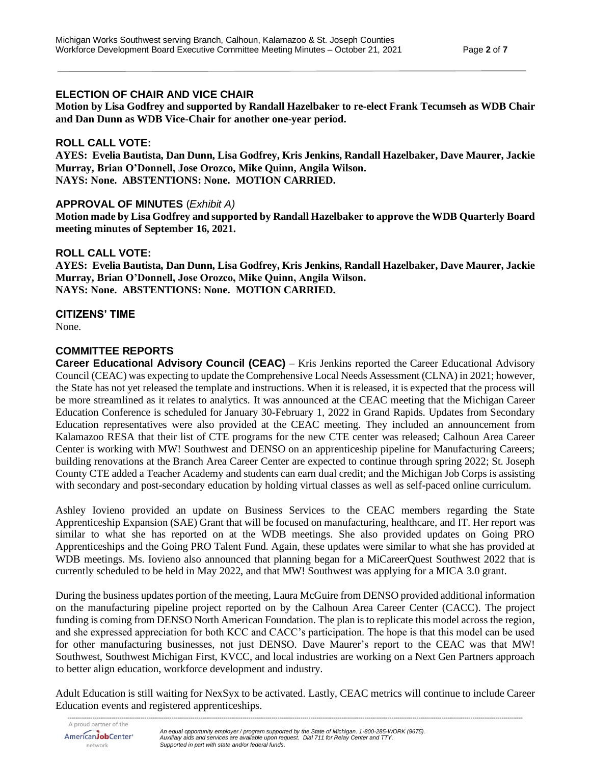# **ELECTION OF CHAIR AND VICE CHAIR**

**Motion by Lisa Godfrey and supported by Randall Hazelbaker to re-elect Frank Tecumseh as WDB Chair and Dan Dunn as WDB Vice-Chair for another one-year period.**

# **ROLL CALL VOTE:**

**AYES: Evelia Bautista, Dan Dunn, Lisa Godfrey, Kris Jenkins, Randall Hazelbaker, Dave Maurer, Jackie Murray, Brian O'Donnell, Jose Orozco, Mike Quinn, Angila Wilson. NAYS: None. ABSTENTIONS: None. MOTION CARRIED.**

### **APPROVAL OF MINUTES** (*Exhibit A)*

**Motion made by Lisa Godfrey and supported by Randall Hazelbaker to approve the WDB Quarterly Board meeting minutes of September 16, 2021.**

### **ROLL CALL VOTE:**

**AYES: Evelia Bautista, Dan Dunn, Lisa Godfrey, Kris Jenkins, Randall Hazelbaker, Dave Maurer, Jackie Murray, Brian O'Donnell, Jose Orozco, Mike Quinn, Angila Wilson. NAYS: None. ABSTENTIONS: None. MOTION CARRIED.**

### **CITIZENS' TIME**

None.

# **COMMITTEE REPORTS**

**Career Educational Advisory Council (CEAC)** – Kris Jenkins reported the Career Educational Advisory Council (CEAC) was expecting to update the Comprehensive Local Needs Assessment (CLNA) in 2021; however, the State has not yet released the template and instructions. When it is released, it is expected that the process will be more streamlined as it relates to analytics. It was announced at the CEAC meeting that the Michigan Career Education Conference is scheduled for January 30-February 1, 2022 in Grand Rapids. Updates from Secondary Education representatives were also provided at the CEAC meeting. They included an announcement from Kalamazoo RESA that their list of CTE programs for the new CTE center was released; Calhoun Area Career Center is working with MW! Southwest and DENSO on an apprenticeship pipeline for Manufacturing Careers; building renovations at the Branch Area Career Center are expected to continue through spring 2022; St. Joseph County CTE added a Teacher Academy and students can earn dual credit; and the Michigan Job Corps is assisting with secondary and post-secondary education by holding virtual classes as well as self-paced online curriculum.

Ashley Iovieno provided an update on Business Services to the CEAC members regarding the State Apprenticeship Expansion (SAE) Grant that will be focused on manufacturing, healthcare, and IT. Her report was similar to what she has reported on at the WDB meetings. She also provided updates on Going PRO Apprenticeships and the Going PRO Talent Fund. Again, these updates were similar to what she has provided at WDB meetings. Ms. Iovieno also announced that planning began for a MiCareerQuest Southwest 2022 that is currently scheduled to be held in May 2022, and that MW! Southwest was applying for a MICA 3.0 grant.

During the business updates portion of the meeting, Laura McGuire from DENSO provided additional information on the manufacturing pipeline project reported on by the Calhoun Area Career Center (CACC). The project funding is coming from DENSO North American Foundation. The plan is to replicate this model across the region, and she expressed appreciation for both KCC and CACC's participation. The hope is that this model can be used for other manufacturing businesses, not just DENSO. Dave Maurer's report to the CEAC was that MW! Southwest, Southwest Michigan First, KVCC, and local industries are working on a Next Gen Partners approach to better align education, workforce development and industry.

*--------------------------------------------------------------------------------------------------------------------------------------------------------------------------------------------------------------------------------------------* Adult Education is still waiting for NexSyx to be activated. Lastly, CEAC metrics will continue to include Career Education events and registered apprenticeships.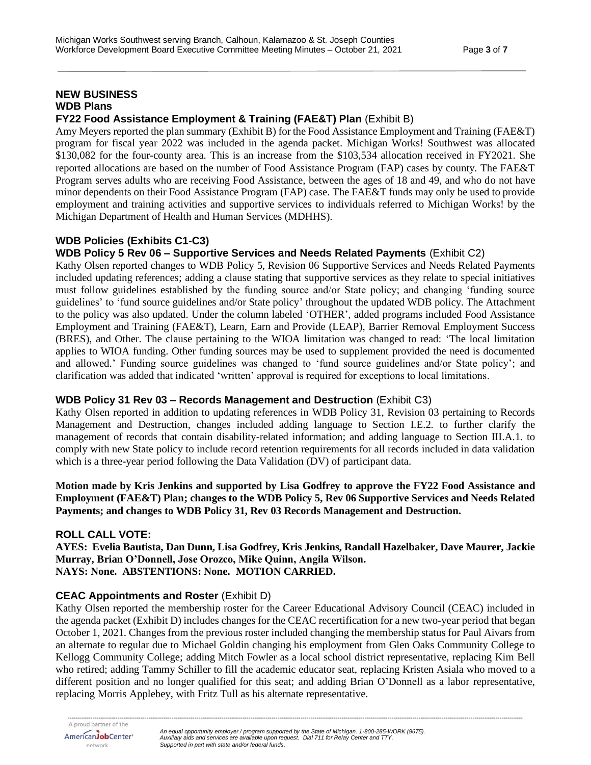#### **NEW BUSINESS WDB Plans FY22 Food Assistance Employment & Training (FAE&T) Plan** (Exhibit B)

Amy Meyers reported the plan summary (Exhibit B) for the Food Assistance Employment and Training (FAE&T) program for fiscal year 2022 was included in the agenda packet. Michigan Works! Southwest was allocated \$130,082 for the four-county area. This is an increase from the \$103,534 allocation received in FY2021. She reported allocations are based on the number of Food Assistance Program (FAP) cases by county. The FAE&T Program serves adults who are receiving Food Assistance, between the ages of 18 and 49, and who do not have minor dependents on their Food Assistance Program (FAP) case. The FAE&T funds may only be used to provide employment and training activities and supportive services to individuals referred to Michigan Works! by the Michigan Department of Health and Human Services (MDHHS).

# **WDB Policies (Exhibits C1-C3)**

# **WDB Policy 5 Rev 06 – Supportive Services and Needs Related Payments** (Exhibit C2)

Kathy Olsen reported changes to WDB Policy 5, Revision 06 Supportive Services and Needs Related Payments included updating references; adding a clause stating that supportive services as they relate to special initiatives must follow guidelines established by the funding source and/or State policy; and changing 'funding source guidelines' to 'fund source guidelines and/or State policy' throughout the updated WDB policy. The Attachment to the policy was also updated. Under the column labeled 'OTHER', added programs included Food Assistance Employment and Training (FAE&T), Learn, Earn and Provide (LEAP), Barrier Removal Employment Success (BRES), and Other. The clause pertaining to the WIOA limitation was changed to read: 'The local limitation applies to WIOA funding. Other funding sources may be used to supplement provided the need is documented and allowed.' Funding source guidelines was changed to 'fund source guidelines and/or State policy'; and clarification was added that indicated 'written' approval is required for exceptions to local limitations.

# **WDB Policy 31 Rev 03 – Records Management and Destruction** (Exhibit C3)

Kathy Olsen reported in addition to updating references in WDB Policy 31, Revision 03 pertaining to Records Management and Destruction, changes included adding language to Section I.E.2. to further clarify the management of records that contain disability-related information; and adding language to Section III.A.1. to comply with new State policy to include record retention requirements for all records included in data validation which is a three-year period following the Data Validation (DV) of participant data.

#### **Motion made by Kris Jenkins and supported by Lisa Godfrey to approve the FY22 Food Assistance and Employment (FAE&T) Plan; changes to the WDB Policy 5, Rev 06 Supportive Services and Needs Related Payments; and changes to WDB Policy 31, Rev 03 Records Management and Destruction.**

# **ROLL CALL VOTE:**

**AYES: Evelia Bautista, Dan Dunn, Lisa Godfrey, Kris Jenkins, Randall Hazelbaker, Dave Maurer, Jackie Murray, Brian O'Donnell, Jose Orozco, Mike Quinn, Angila Wilson. NAYS: None. ABSTENTIONS: None. MOTION CARRIED.**

# **CEAC Appointments and Roster** (Exhibit D)

Kathy Olsen reported the membership roster for the Career Educational Advisory Council (CEAC) included in the agenda packet (Exhibit D) includes changes for the CEAC recertification for a new two-year period that began October 1, 2021. Changes from the previous roster included changing the membership status for Paul Aivars from an alternate to regular due to Michael Goldin changing his employment from Glen Oaks Community College to Kellogg Community College; adding Mitch Fowler as a local school district representative, replacing Kim Bell who retired; adding Tammy Schiller to fill the academic educator seat, replacing Kristen Asiala who moved to a different position and no longer qualified for this seat; and adding Brian O'Donnell as a labor representative, replacing Morris Applebey, with Fritz Tull as his alternate representative.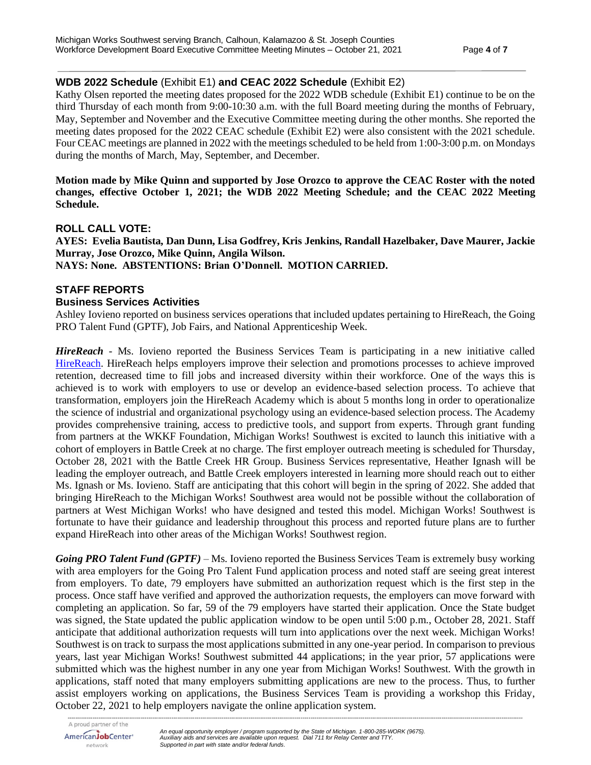# **WDB 2022 Schedule** (Exhibit E1) **and CEAC 2022 Schedule** (Exhibit E2)

Kathy Olsen reported the meeting dates proposed for the 2022 WDB schedule (Exhibit E1) continue to be on the third Thursday of each month from 9:00-10:30 a.m. with the full Board meeting during the months of February, May, September and November and the Executive Committee meeting during the other months. She reported the meeting dates proposed for the 2022 CEAC schedule (Exhibit E2) were also consistent with the 2021 schedule. Four CEAC meetings are planned in 2022 with the meetings scheduled to be held from 1:00-3:00 p.m. on Mondays during the months of March, May, September, and December.

#### **Motion made by Mike Quinn and supported by Jose Orozco to approve the CEAC Roster with the noted changes, effective October 1, 2021; the WDB 2022 Meeting Schedule; and the CEAC 2022 Meeting Schedule.**

### **ROLL CALL VOTE:**

**AYES: Evelia Bautista, Dan Dunn, Lisa Godfrey, Kris Jenkins, Randall Hazelbaker, Dave Maurer, Jackie Murray, Jose Orozco, Mike Quinn, Angila Wilson. NAYS: None. ABSTENTIONS: Brian O'Donnell. MOTION CARRIED.**

# **STAFF REPORTS**

### **Business Services Activities**

Ashley Iovieno reported on business services operations that included updates pertaining to HireReach, the Going PRO Talent Fund (GPTF), Job Fairs, and National Apprenticeship Week.

*HireReach* - Ms. Iovieno reported the Business Services Team is participating in a new initiative called [HireReach.](https://www.hirereach.org/) HireReach helps employers improve their selection and promotions processes to achieve improved retention, decreased time to fill jobs and increased diversity within their workforce. One of the ways this is achieved is to work with employers to use or develop an evidence-based selection process. To achieve that transformation, employers join the HireReach Academy which is about 5 months long in order to operationalize the science of industrial and organizational psychology using an evidence-based selection process. The Academy provides comprehensive training, access to predictive tools, and support from experts. Through grant funding from partners at the WKKF Foundation, Michigan Works! Southwest is excited to launch this initiative with a cohort of employers in Battle Creek at no charge. The first employer outreach meeting is scheduled for Thursday, October 28, 2021 with the Battle Creek HR Group. Business Services representative, Heather Ignash will be leading the employer outreach, and Battle Creek employers interested in learning more should reach out to either Ms. Ignash or Ms. Iovieno. Staff are anticipating that this cohort will begin in the spring of 2022. She added that bringing HireReach to the Michigan Works! Southwest area would not be possible without the collaboration of partners at West Michigan Works! who have designed and tested this model. Michigan Works! Southwest is fortunate to have their guidance and leadership throughout this process and reported future plans are to further expand HireReach into other areas of the Michigan Works! Southwest region.

*Going PRO Talent Fund (GPTF)* – Ms. Iovieno reported the Business Services Team is extremely busy working with area employers for the Going Pro Talent Fund application process and noted staff are seeing great interest from employers. To date, 79 employers have submitted an authorization request which is the first step in the process. Once staff have verified and approved the authorization requests, the employers can move forward with completing an application. So far, 59 of the 79 employers have started their application. Once the State budget was signed, the State updated the public application window to be open until 5:00 p.m., October 28, 2021. Staff anticipate that additional authorization requests will turn into applications over the next week. Michigan Works! Southwest is on track to surpass the most applications submitted in any one-year period. In comparison to previous years, last year Michigan Works! Southwest submitted 44 applications; in the year prior, 57 applications were submitted which was the highest number in any one year from Michigan Works! Southwest. With the growth in applications, staff noted that many employers submitting applications are new to the process. Thus, to further assist employers working on applications, the Business Services Team is providing a workshop this Friday, October 22, 2021 to help employers navigate the online application system.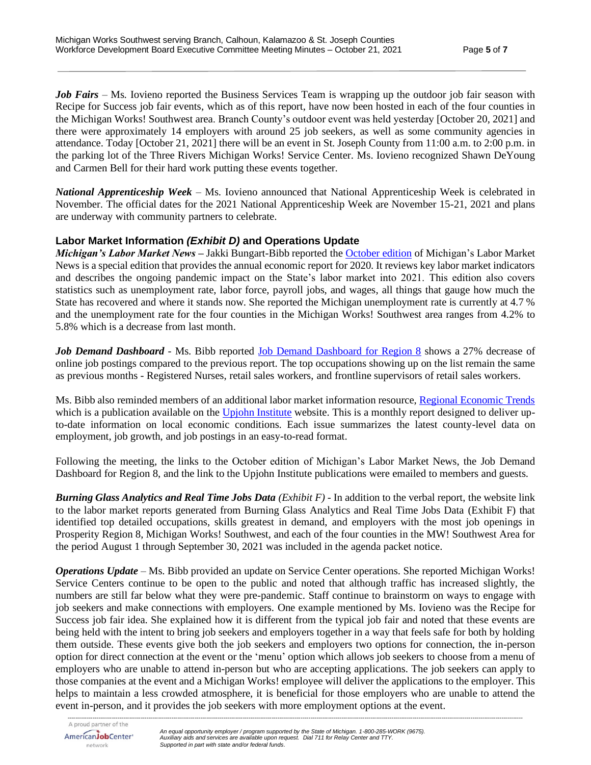*Job Fairs* – Ms. Iovieno reported the Business Services Team is wrapping up the outdoor job fair season with Recipe for Success job fair events, which as of this report, have now been hosted in each of the four counties in the Michigan Works! Southwest area. Branch County's outdoor event was held yesterday [October 20, 2021] and there were approximately 14 employers with around 25 job seekers, as well as some community agencies in attendance. Today [October 21, 2021] there will be an event in St. Joseph County from 11:00 a.m. to 2:00 p.m. in the parking lot of the Three Rivers Michigan Works! Service Center. Ms. Iovieno recognized Shawn DeYoung and Carmen Bell for their hard work putting these events together.

*National Apprenticeship Week* – Ms. Iovieno announced that National Apprenticeship Week is celebrated in November. The official dates for the 2021 National Apprenticeship Week are November 15-21, 2021 and plans are underway with community partners to celebrate.

# **Labor Market Information** *(Exhibit D)* **and Operations Update**

*Michigan's Labor Market News* **–** Jakki Bungart-Bibb reported the [October edition](https://milmi.org/_docs/publications/News/LMN/LMN_1021.pdf) of Michigan's Labor Market News is a special edition that provides the annual economic report for 2020. It reviews key labor market indicators and describes the ongoing pandemic impact on the State's labor market into 2021. This edition also covers statistics such as unemployment rate, labor force, payroll jobs, and wages, all things that gauge how much the State has recovered and where it stands now. She reported the Michigan unemployment rate is currently at 4.7 % and the unemployment rate for the four counties in the Michigan Works! Southwest area ranges from 4.2% to 5.8% which is a decrease from last month.

Job Demand Dashboard - Ms. Bibb reported [Job Demand Dashboard for Region 8](https://app.powerbigov.us/view?r=eyJrIjoiOTc1OWQ5OWItODVmYi00Y2IyLWExMjYtYjkzOTc0OWZlMTcwIiwidCI6ImQ1ZmI3MDg3LTM3NzctNDJhZC05NjZhLTg5MmVmNDcyMjVkMSJ9&pageName=ReportSection3ea51ac6802356c9f464) shows a 27% decrease of online job postings compared to the previous report. The top occupations showing up on the list remain the same as previous months - Registered Nurses, retail sales workers, and frontline supervisors of retail sales workers.

Ms. Bibb also reminded members of an additional labor market information resource, [Regional Economic Trends](https://www.upjohn.org/sites/default/files/2021-10/RET_202110MIWksSW_1.pdf) which is a publication available on the [Upjohn Institute](https://www.upjohn.org/) website. This is a monthly report designed to deliver upto-date information on local economic conditions. Each issue summarizes the latest county-level data on employment, job growth, and job postings in an easy-to-read format.

Following the meeting, the links to the October edition of Michigan's Labor Market News, the Job Demand Dashboard for Region 8, and the link to the Upjohn Institute publications were emailed to members and guests.

*Burning Glass Analytics and Real Time Jobs Data (Exhibit F) -* In addition to the verbal report, the website link to the labor market reports generated from Burning Glass Analytics and Real Time Jobs Data (Exhibit F) that identified top detailed occupations, skills greatest in demand, and employers with the most job openings in Prosperity Region 8, Michigan Works! Southwest, and each of the four counties in the MW! Southwest Area for the period August 1 through September 30, 2021 was included in the agenda packet notice.

*Operations Update* – Ms. Bibb provided an update on Service Center operations. She reported Michigan Works! Service Centers continue to be open to the public and noted that although traffic has increased slightly, the numbers are still far below what they were pre-pandemic. Staff continue to brainstorm on ways to engage with job seekers and make connections with employers. One example mentioned by Ms. Iovieno was the Recipe for Success job fair idea. She explained how it is different from the typical job fair and noted that these events are being held with the intent to bring job seekers and employers together in a way that feels safe for both by holding them outside. These events give both the job seekers and employers two options for connection, the in-person option for direct connection at the event or the 'menu' option which allows job seekers to choose from a menu of employers who are unable to attend in-person but who are accepting applications. The job seekers can apply to those companies at the event and a Michigan Works! employee will deliver the applications to the employer. This helps to maintain a less crowded atmosphere, it is beneficial for those employers who are unable to attend the event in-person, and it provides the job seekers with more employment options at the event.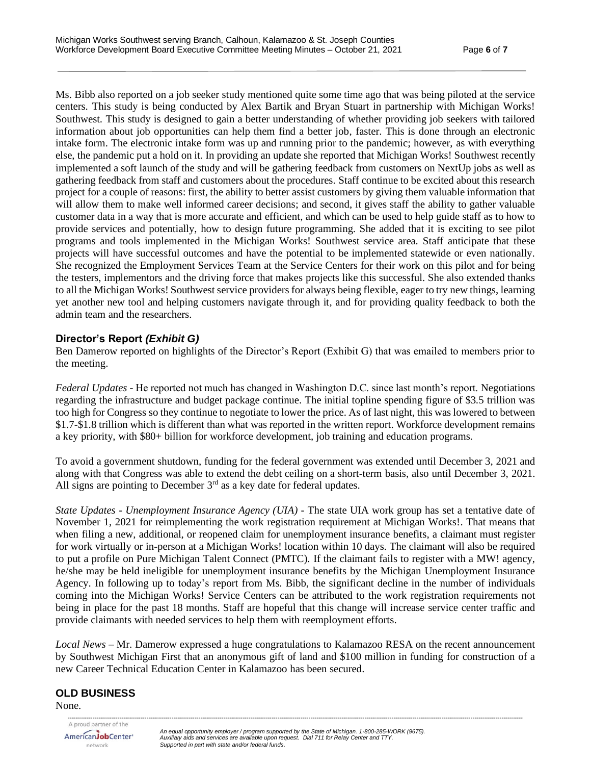Ms. Bibb also reported on a job seeker study mentioned quite some time ago that was being piloted at the service centers. This study is being conducted by Alex Bartik and Bryan Stuart in partnership with Michigan Works! Southwest. This study is designed to gain a better understanding of whether providing job seekers with tailored information about job opportunities can help them find a better job, faster. This is done through an electronic intake form. The electronic intake form was up and running prior to the pandemic; however, as with everything else, the pandemic put a hold on it. In providing an update she reported that Michigan Works! Southwest recently implemented a soft launch of the study and will be gathering feedback from customers on NextUp jobs as well as gathering feedback from staff and customers about the procedures. Staff continue to be excited about this research project for a couple of reasons: first, the ability to better assist customers by giving them valuable information that will allow them to make well informed career decisions; and second, it gives staff the ability to gather valuable customer data in a way that is more accurate and efficient, and which can be used to help guide staff as to how to provide services and potentially, how to design future programming. She added that it is exciting to see pilot programs and tools implemented in the Michigan Works! Southwest service area. Staff anticipate that these projects will have successful outcomes and have the potential to be implemented statewide or even nationally. She recognized the Employment Services Team at the Service Centers for their work on this pilot and for being the testers, implementors and the driving force that makes projects like this successful. She also extended thanks to all the Michigan Works! Southwest service providers for always being flexible, eager to try new things, learning yet another new tool and helping customers navigate through it, and for providing quality feedback to both the admin team and the researchers.

### **Director's Report** *(Exhibit G)*

Ben Damerow reported on highlights of the Director's Report (Exhibit G) that was emailed to members prior to the meeting.

*Federal Updates* - He reported not much has changed in Washington D.C. since last month's report. Negotiations regarding the infrastructure and budget package continue. The initial topline spending figure of \$3.5 trillion was too high for Congress so they continue to negotiate to lower the price. As of last night, this was lowered to between \$1.7-\$1.8 trillion which is different than what was reported in the written report. Workforce development remains a key priority, with \$80+ billion for workforce development, job training and education programs.

To avoid a government shutdown, funding for the federal government was extended until December 3, 2021 and along with that Congress was able to extend the debt ceiling on a short-term basis, also until December 3, 2021. All signs are pointing to December  $3<sup>rd</sup>$  as a key date for federal updates.

*State Updates* - *Unemployment Insurance Agency (UIA)* - The state UIA work group has set a tentative date of November 1, 2021 for reimplementing the work registration requirement at Michigan Works!. That means that when filing a new, additional, or reopened claim for unemployment insurance benefits, a claimant must register for work virtually or in-person at a Michigan Works! location within 10 days. The claimant will also be required to put a profile on Pure Michigan Talent Connect (PMTC). If the claimant fails to register with a MW! agency, he/she may be held ineligible for unemployment insurance benefits by the Michigan Unemployment Insurance Agency. In following up to today's report from Ms. Bibb, the significant decline in the number of individuals coming into the Michigan Works! Service Centers can be attributed to the work registration requirements not being in place for the past 18 months. Staff are hopeful that this change will increase service center traffic and provide claimants with needed services to help them with reemployment efforts.

*Local News* – Mr. Damerow expressed a huge congratulations to Kalamazoo RESA on the recent announcement by Southwest Michigan First that an anonymous gift of land and \$100 million in funding for construction of a new Career Technical Education Center in Kalamazoo has been secured.

# **OLD BUSINESS**

None.

AmericanJobCenter\* network

*--------------------------------------------------------------------------------------------------------------------------------------------------------------------------------------------------------------------------------------------*